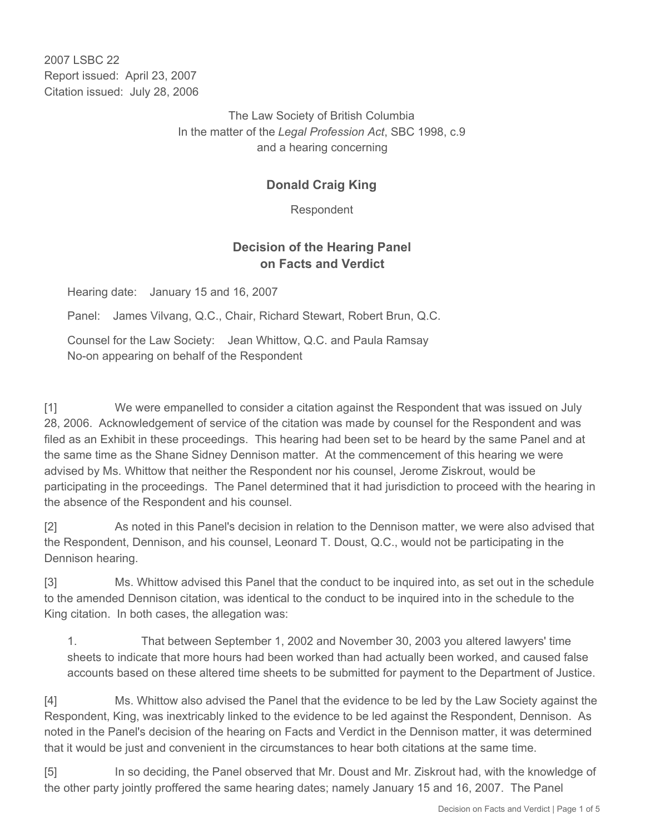2007 LSBC 22 Report issued: April 23, 2007 Citation issued: July 28, 2006

> The Law Society of British Columbia In the matter of the *Legal Profession Act*, SBC 1998, c.9 and a hearing concerning

# **Donald Craig King**

Respondent

### **Decision of the Hearing Panel on Facts and Verdict**

Hearing date: January 15 and 16, 2007

Panel: James Vilvang, Q.C., Chair, Richard Stewart, Robert Brun, Q.C.

Counsel for the Law Society: Jean Whittow, Q.C. and Paula Ramsay No-on appearing on behalf of the Respondent

[1] We were empanelled to consider a citation against the Respondent that was issued on July 28, 2006. Acknowledgement of service of the citation was made by counsel for the Respondent and was filed as an Exhibit in these proceedings. This hearing had been set to be heard by the same Panel and at the same time as the Shane Sidney Dennison matter. At the commencement of this hearing we were advised by Ms. Whittow that neither the Respondent nor his counsel, Jerome Ziskrout, would be participating in the proceedings. The Panel determined that it had jurisdiction to proceed with the hearing in the absence of the Respondent and his counsel.

[2] As noted in this Panel's decision in relation to the Dennison matter, we were also advised that the Respondent, Dennison, and his counsel, Leonard T. Doust, Q.C., would not be participating in the Dennison hearing.

[3] Ms. Whittow advised this Panel that the conduct to be inquired into, as set out in the schedule to the amended Dennison citation, was identical to the conduct to be inquired into in the schedule to the King citation. In both cases, the allegation was:

1. That between September 1, 2002 and November 30, 2003 you altered lawyers' time sheets to indicate that more hours had been worked than had actually been worked, and caused false accounts based on these altered time sheets to be submitted for payment to the Department of Justice.

[4] Ms. Whittow also advised the Panel that the evidence to be led by the Law Society against the Respondent, King, was inextricably linked to the evidence to be led against the Respondent, Dennison. As noted in the Panel's decision of the hearing on Facts and Verdict in the Dennison matter, it was determined that it would be just and convenient in the circumstances to hear both citations at the same time.

[5] In so deciding, the Panel observed that Mr. Doust and Mr. Ziskrout had, with the knowledge of the other party jointly proffered the same hearing dates; namely January 15 and 16, 2007. The Panel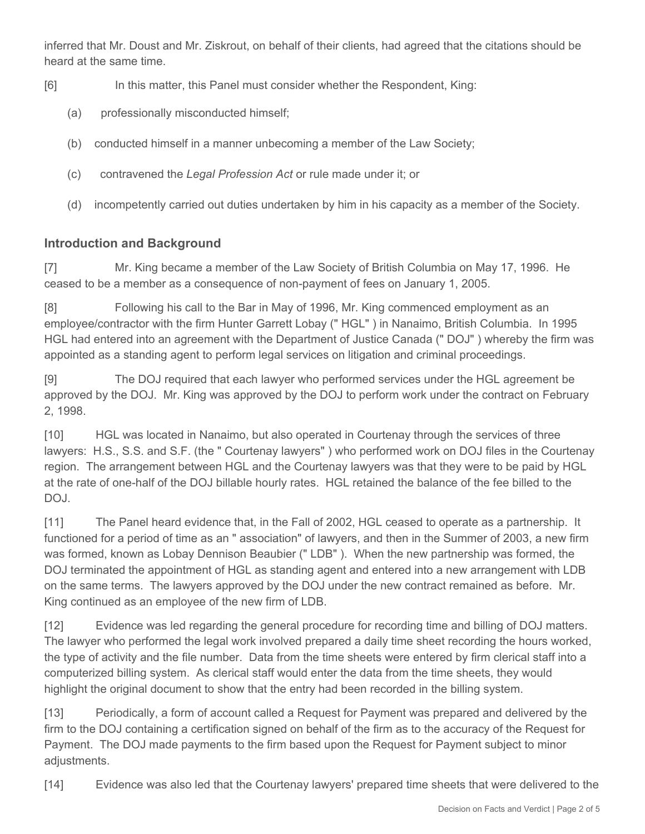inferred that Mr. Doust and Mr. Ziskrout, on behalf of their clients, had agreed that the citations should be heard at the same time.

- [6] In this matter, this Panel must consider whether the Respondent, King:
	- (a) professionally misconducted himself;
	- (b) conducted himself in a manner unbecoming a member of the Law Society;
	- (c) contravened the *Legal Profession Act* or rule made under it; or
	- (d) incompetently carried out duties undertaken by him in his capacity as a member of the Society.

# **Introduction and Background**

[7] Mr. King became a member of the Law Society of British Columbia on May 17, 1996. He ceased to be a member as a consequence of non-payment of fees on January 1, 2005.

[8] Following his call to the Bar in May of 1996, Mr. King commenced employment as an employee/contractor with the firm Hunter Garrett Lobay (" HGL" ) in Nanaimo, British Columbia. In 1995 HGL had entered into an agreement with the Department of Justice Canada (" DOJ" ) whereby the firm was appointed as a standing agent to perform legal services on litigation and criminal proceedings.

[9] The DOJ required that each lawyer who performed services under the HGL agreement be approved by the DOJ. Mr. King was approved by the DOJ to perform work under the contract on February 2, 1998.

[10] HGL was located in Nanaimo, but also operated in Courtenay through the services of three lawyers: H.S., S.S. and S.F. (the " Courtenay lawyers" ) who performed work on DOJ files in the Courtenay region. The arrangement between HGL and the Courtenay lawyers was that they were to be paid by HGL at the rate of one-half of the DOJ billable hourly rates. HGL retained the balance of the fee billed to the DOJ.

[11] The Panel heard evidence that, in the Fall of 2002, HGL ceased to operate as a partnership. It functioned for a period of time as an " association" of lawyers, and then in the Summer of 2003, a new firm was formed, known as Lobay Dennison Beaubier (" LDB" ). When the new partnership was formed, the DOJ terminated the appointment of HGL as standing agent and entered into a new arrangement with LDB on the same terms. The lawyers approved by the DOJ under the new contract remained as before. Mr. King continued as an employee of the new firm of LDB.

[12] Evidence was led regarding the general procedure for recording time and billing of DOJ matters. The lawyer who performed the legal work involved prepared a daily time sheet recording the hours worked, the type of activity and the file number. Data from the time sheets were entered by firm clerical staff into a computerized billing system. As clerical staff would enter the data from the time sheets, they would highlight the original document to show that the entry had been recorded in the billing system.

[13] Periodically, a form of account called a Request for Payment was prepared and delivered by the firm to the DOJ containing a certification signed on behalf of the firm as to the accuracy of the Request for Payment. The DOJ made payments to the firm based upon the Request for Payment subject to minor adjustments.

[14] Evidence was also led that the Courtenay lawyers' prepared time sheets that were delivered to the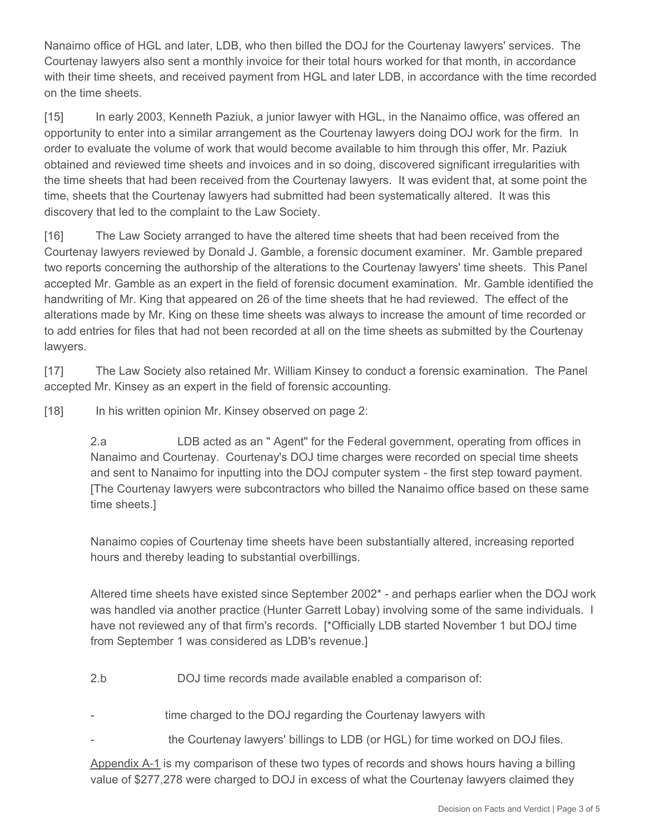Nanaimo office of HGL and later, LDB, who then billed the DOJ for the Courtenay lawyers' services. The Courtenay lawyers also sent a monthly invoice for their total hours worked for that month, in accordance with their time sheets, and received payment from HGL and later LDB, in accordance with the time recorded on the time sheets.

[15] In early 2003, Kenneth Paziuk, a junior lawyer with HGL, in the Nanaimo office, was offered an opportunity to enter into a similar arrangement as the Courtenay lawyers doing DOJ work for the firm. In order to evaluate the volume of work that would become available to him through this offer, Mr. Paziuk obtained and reviewed time sheets and invoices and in so doing, discovered significant irregularities with the time sheets that had been received from the Courtenay lawyers. It was evident that, at some point the time, sheets that the Courtenay lawyers had submitted had been systematically altered. It was this discovery that led to the complaint to the Law Society.

[16] The Law Society arranged to have the altered time sheets that had been received from the Courtenay lawyers reviewed by Donald J. Gamble, a forensic document examiner. Mr. Gamble prepared two reports concerning the authorship of the alterations to the Courtenay lawyers' time sheets. This Panel accepted Mr. Gamble as an expert in the field of forensic document examination. Mr. Gamble identified the handwriting of Mr. King that appeared on 26 of the time sheets that he had reviewed. The effect of the alterations made by Mr. King on these time sheets was always to increase the amount of time recorded or to add entries for files that had not been recorded at all on the time sheets as submitted by the Courtenay lawyers.

[17] The Law Society also retained Mr. William Kinsey to conduct a forensic examination. The Panel accepted Mr. Kinsey as an expert in the field of forensic accounting.

[18] In his written opinion Mr. Kinsey observed on page 2:

2.a LDB acted as an " Agent" for the Federal government, operating from offices in Nanaimo and Courtenay. Courtenay's DOJ time charges were recorded on special time sheets and sent to Nanaimo for inputting into the DOJ computer system - the first step toward payment. [The Courtenay lawyers were subcontractors who billed the Nanaimo office based on these same time sheets.]

Nanaimo copies of Courtenay time sheets have been substantially altered, increasing reported hours and thereby leading to substantial overbillings.

Altered time sheets have existed since September 2002\* - and perhaps earlier when the DOJ work was handled via another practice (Hunter Garrett Lobay) involving some of the same individuals. I have not reviewed any of that firm's records. [\*Officially LDB started November 1 but DOJ time from September 1 was considered as LDB's revenue.]

2.b DOJ time records made available enabled a comparison of:

time charged to the DOJ regarding the Courtenay lawyers with

the Courtenay lawyers' billings to LDB (or HGL) for time worked on DOJ files.

Appendix A-1 is my comparison of these two types of records and shows hours having a billing value of \$277,278 were charged to DOJ in excess of what the Courtenay lawyers claimed they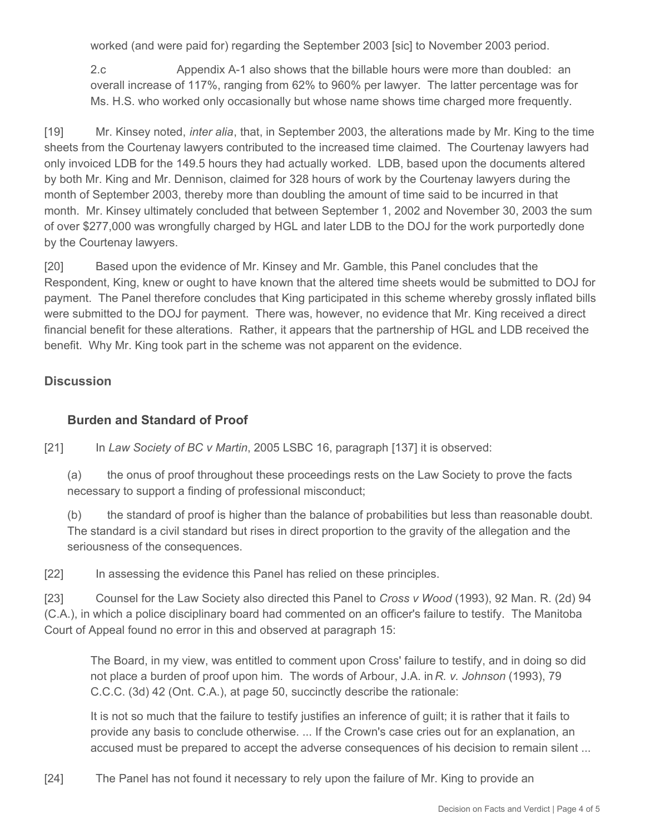worked (and were paid for) regarding the September 2003 [sic] to November 2003 period.

2.c Appendix A-1 also shows that the billable hours were more than doubled: an overall increase of 117%, ranging from 62% to 960% per lawyer. The latter percentage was for Ms. H.S. who worked only occasionally but whose name shows time charged more frequently.

[19] Mr. Kinsey noted, *inter alia*, that, in September 2003, the alterations made by Mr. King to the time sheets from the Courtenay lawyers contributed to the increased time claimed. The Courtenay lawyers had only invoiced LDB for the 149.5 hours they had actually worked. LDB, based upon the documents altered by both Mr. King and Mr. Dennison, claimed for 328 hours of work by the Courtenay lawyers during the month of September 2003, thereby more than doubling the amount of time said to be incurred in that month. Mr. Kinsey ultimately concluded that between September 1, 2002 and November 30, 2003 the sum of over \$277,000 was wrongfully charged by HGL and later LDB to the DOJ for the work purportedly done by the Courtenay lawyers.

[20] Based upon the evidence of Mr. Kinsey and Mr. Gamble, this Panel concludes that the Respondent, King, knew or ought to have known that the altered time sheets would be submitted to DOJ for payment. The Panel therefore concludes that King participated in this scheme whereby grossly inflated bills were submitted to the DOJ for payment. There was, however, no evidence that Mr. King received a direct financial benefit for these alterations. Rather, it appears that the partnership of HGL and LDB received the benefit. Why Mr. King took part in the scheme was not apparent on the evidence.

#### **Discussion**

### **Burden and Standard of Proof**

[21] In *Law Society of BC v Martin*, 2005 LSBC 16, paragraph [137] it is observed:

(a) the onus of proof throughout these proceedings rests on the Law Society to prove the facts necessary to support a finding of professional misconduct;

(b) the standard of proof is higher than the balance of probabilities but less than reasonable doubt. The standard is a civil standard but rises in direct proportion to the gravity of the allegation and the seriousness of the consequences.

[22] In assessing the evidence this Panel has relied on these principles.

[23] Counsel for the Law Society also directed this Panel to *Cross v Wood* (1993), 92 Man. R. (2d) 94 (C.A.), in which a police disciplinary board had commented on an officer's failure to testify. The Manitoba Court of Appeal found no error in this and observed at paragraph 15:

The Board, in my view, was entitled to comment upon Cross' failure to testify, and in doing so did not place a burden of proof upon him. The words of Arbour, J.A. in *R. v. Johnson* (1993), 79 C.C.C. (3d) 42 (Ont. C.A.), at page 50, succinctly describe the rationale:

It is not so much that the failure to testify justifies an inference of guilt; it is rather that it fails to provide any basis to conclude otherwise. ... If the Crown's case cries out for an explanation, an accused must be prepared to accept the adverse consequences of his decision to remain silent ...

[24] The Panel has not found it necessary to rely upon the failure of Mr. King to provide an